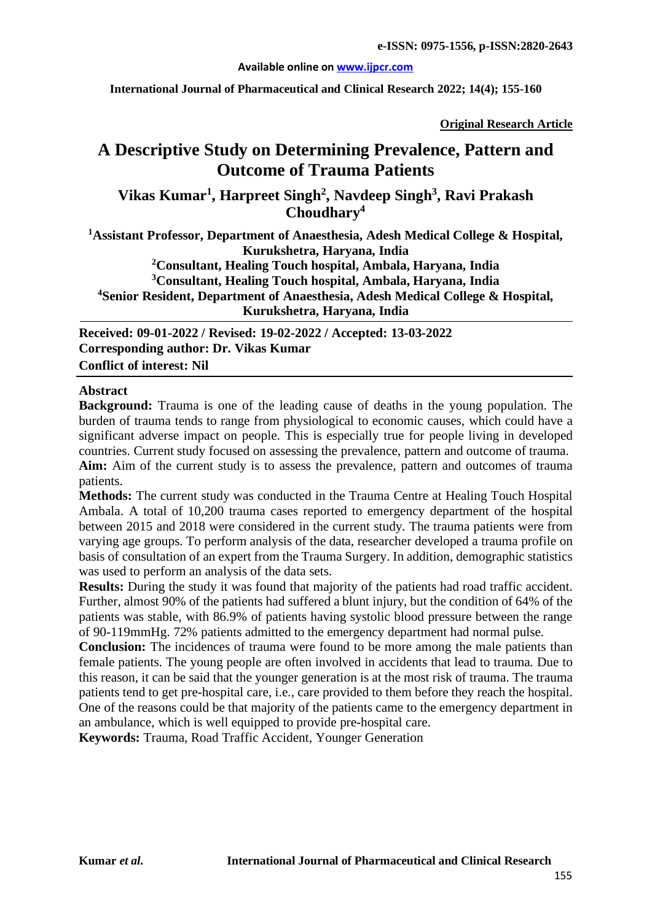#### **Available online o[n www.ijpcr.com](http://www.ijpcr.com/)**

**International Journal of Pharmaceutical and Clinical Research 2022; 14(4); 155-160**

**Original Research Article**

# **A Descriptive Study on Determining Prevalence, Pattern and Outcome of Trauma Patients**

# **Vikas Kumar1 , Harpreet Singh2 , Navdeep Singh3 , Ravi Prakash Choudhary4**

**1 Assistant Professor, Department of Anaesthesia, Adesh Medical College & Hospital, Kurukshetra, Haryana, India 2 Consultant, Healing Touch hospital, Ambala, Haryana, India**

**3 Consultant, Healing Touch hospital, Ambala, Haryana, India 4 Senior Resident, Department of Anaesthesia, Adesh Medical College & Hospital, Kurukshetra, Haryana, India**

**Received: 09-01-2022 / Revised: 19-02-2022 / Accepted: 13-03-2022 Corresponding author: Dr. Vikas Kumar Conflict of interest: Nil**

#### **Abstract**

**Background:** Trauma is one of the leading cause of deaths in the young population. The burden of trauma tends to range from physiological to economic causes, which could have a significant adverse impact on people. This is especially true for people living in developed countries. Current study focused on assessing the prevalence, pattern and outcome of trauma. **Aim:** Aim of the current study is to assess the prevalence, pattern and outcomes of trauma patients.

**Methods:** The current study was conducted in the Trauma Centre at Healing Touch Hospital Ambala. A total of 10,200 trauma cases reported to emergency department of the hospital between 2015 and 2018 were considered in the current study. The trauma patients were from varying age groups. To perform analysis of the data, researcher developed a trauma profile on basis of consultation of an expert from the Trauma Surgery. In addition, demographic statistics was used to perform an analysis of the data sets.

**Results:** During the study it was found that majority of the patients had road traffic accident. Further, almost 90% of the patients had suffered a blunt injury, but the condition of 64% of the patients was stable, with 86.9% of patients having systolic blood pressure between the range of 90-119mmHg. 72% patients admitted to the emergency department had normal pulse.

**Conclusion:** The incidences of trauma were found to be more among the male patients than female patients. The young people are often involved in accidents that lead to trauma. Due to this reason, it can be said that the younger generation is at the most risk of trauma. The trauma patients tend to get pre-hospital care, i.e., care provided to them before they reach the hospital. One of the reasons could be that majority of the patients came to the emergency department in an ambulance, which is well equipped to provide pre-hospital care.

**Keywords:** Trauma, Road Traffic Accident, Younger Generation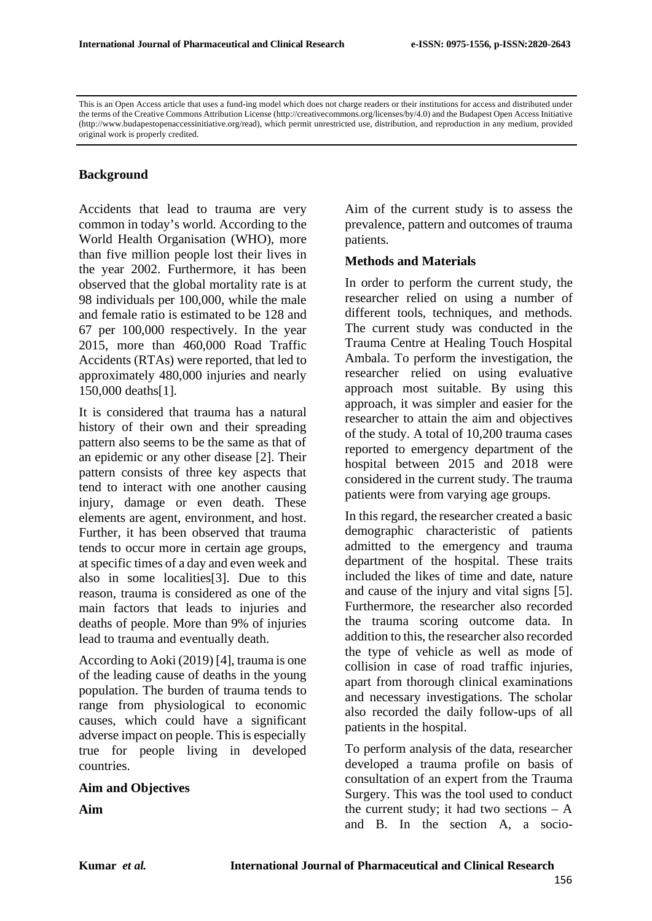This is an Open Access article that uses a fund-ing model which does not charge readers or their institutions for access and distributed under the terms of the Creative Commons Attribution License (http://creativecommons.org/licenses/by/4.0) and the Budapest Open Access Initiative (http://www.budapestopenaccessinitiative.org/read), which permit unrestricted use, distribution, and reproduction in any medium, provided original work is properly credited.

#### **Background**

Accidents that lead to trauma are very common in today's world. According to the World Health Organisation (WHO), more than five million people lost their lives in the year 2002. Furthermore, it has been observed that the global mortality rate is at 98 individuals per 100,000, while the male and female ratio is estimated to be 128 and 67 per 100,000 respectively. In the year 2015, more than 460,000 Road Traffic Accidents (RTAs) were reported, that led to approximately 480,000 injuries and nearly 150,000 deaths[1].

It is considered that trauma has a natural history of their own and their spreading pattern also seems to be the same as that of an epidemic or any other disease [2]. Their pattern consists of three key aspects that tend to interact with one another causing injury, damage or even death. These elements are agent, environment, and host. Further, it has been observed that trauma tends to occur more in certain age groups, at specific times of a day and even week and also in some localities[3]. Due to this reason, trauma is considered as one of the main factors that leads to injuries and deaths of people. More than 9% of injuries lead to trauma and eventually death.

According to Aoki (2019) [4], trauma is one of the leading cause of deaths in the young population. The burden of trauma tends to range from physiological to economic causes, which could have a significant adverse impact on people. This is especially true for people living in developed countries.

#### **Aim and Objectives**

**Aim**

Aim of the current study is to assess the prevalence, pattern and outcomes of trauma patients.

#### **Methods and Materials**

In order to perform the current study, the researcher relied on using a number of different tools, techniques, and methods. The current study was conducted in the Trauma Centre at Healing Touch Hospital Ambala. To perform the investigation, the researcher relied on using evaluative approach most suitable. By using this approach, it was simpler and easier for the researcher to attain the aim and objectives of the study. A total of 10,200 trauma cases reported to emergency department of the hospital between 2015 and 2018 were considered in the current study. The trauma patients were from varying age groups.

In this regard, the researcher created a basic demographic characteristic of patients admitted to the emergency and trauma department of the hospital. These traits included the likes of time and date, nature and cause of the injury and vital signs [5]. Furthermore, the researcher also recorded the trauma scoring outcome data. In addition to this, the researcher also recorded the type of vehicle as well as mode of collision in case of road traffic injuries, apart from thorough clinical examinations and necessary investigations. The scholar also recorded the daily follow-ups of all patients in the hospital.

To perform analysis of the data, researcher developed a trauma profile on basis of consultation of an expert from the Trauma Surgery. This was the tool used to conduct the current study; it had two sections  $- A$ and B. In the section A, a socio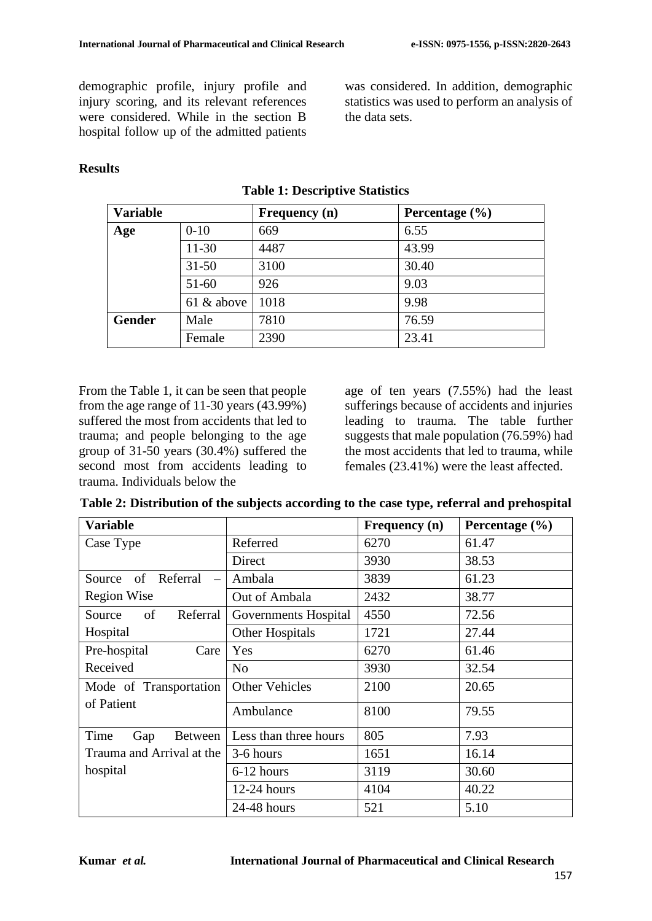demographic profile, injury profile and injury scoring, and its relevant references were considered. While in the section B hospital follow up of the admitted patients

was considered. In addition, demographic statistics was used to perform an analysis of the data sets.

### **Results**

| <b>Variable</b> |            | <b>Frequency</b> (n) | Percentage $(\% )$ |
|-----------------|------------|----------------------|--------------------|
| $0-10$<br>Age   |            | 669                  | 6.55               |
|                 | 11-30      | 4487                 | 43.99              |
|                 | $31 - 50$  | 3100                 | 30.40              |
|                 | $51 - 60$  | 926                  | 9.03               |
|                 | 61 & above | 1018                 | 9.98               |
| <b>Gender</b>   | Male       | 7810                 | 76.59              |
|                 | Female     | 2390                 | 23.41              |

### **Table 1: Descriptive Statistics**

From the Table 1, it can be seen that people from the age range of 11-30 years  $(43.99\%)$ suffered the most from accidents that led to trauma; and people belonging to the age group of 31-50 years (30.4%) suffered the second most from accidents leading to trauma. Individuals below the

age of ten years (7.55%) had the least sufferings because of accidents and injuries leading to trauma. The table further suggests that male population (76.59%) had the most accidents that led to trauma, while females (23.41%) were the least affected.

|  | Table 2: Distribution of the subjects according to the case type, referral and prehospital |  |  |  |  |  |
|--|--------------------------------------------------------------------------------------------|--|--|--|--|--|
|  |                                                                                            |  |  |  |  |  |

| <b>Variable</b>                                      |                       | Frequency (n) | Percentage $(\% )$ |  |
|------------------------------------------------------|-----------------------|---------------|--------------------|--|
| Case Type                                            | Referred              | 6270          | 61.47              |  |
|                                                      | Direct                | 3930          | 38.53              |  |
| of<br>Referral<br>Source<br>$\overline{\phantom{m}}$ | Ambala                | 3839          | 61.23              |  |
| <b>Region Wise</b>                                   | Out of Ambala         | 2432          | 38.77              |  |
| Referral<br>of<br>Source                             | Governments Hospital  | 4550          | 72.56              |  |
| Hospital                                             | Other Hospitals       | 1721          | 27.44              |  |
| Pre-hospital<br>Care                                 | Yes                   | 6270          | 61.46              |  |
| Received                                             | N <sub>o</sub>        | 3930          | 32.54              |  |
| Mode of Transportation                               | <b>Other Vehicles</b> | 2100          | 20.65              |  |
| of Patient                                           | 8100<br>Ambulance     |               | 79.55              |  |
| Time<br>Gap<br>Between                               | Less than three hours | 805           | 7.93               |  |
| Trauma and Arrival at the                            | 3-6 hours             | 1651          | 16.14              |  |
| hospital                                             | 6-12 hours            | 3119          | 30.60              |  |
|                                                      | $12-24$ hours         | 4104          | 40.22              |  |
|                                                      | $24-48$ hours         | 521           | 5.10               |  |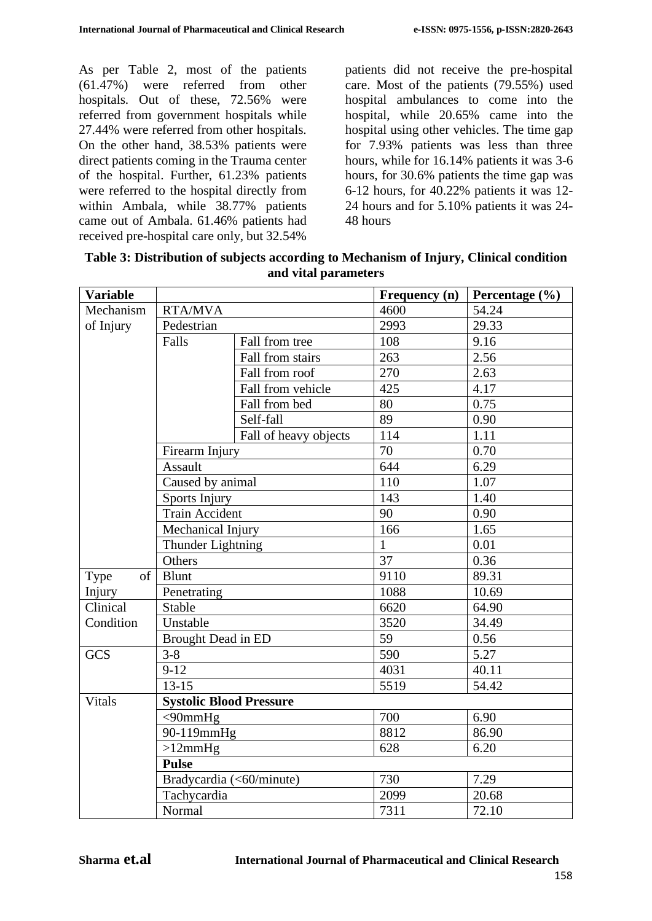As per Table 2, most of the patients (61.47%) were referred from other hospitals. Out of these, 72.56% were referred from government hospitals while 27.44% were referred from other hospitals. On the other hand, 38.53% patients were direct patients coming in the Trauma center of the hospital. Further, 61.23% patients were referred to the hospital directly from within Ambala, while 38.77% patients came out of Ambala. 61.46% patients had received pre-hospital care only, but 32.54%

patients did not receive the pre-hospital care. Most of the patients (79.55%) used hospital ambulances to come into the hospital, while 20.65% came into the hospital using other vehicles. The time gap for 7.93% patients was less than three hours, while for 16.14% patients it was 3-6 hours, for 30.6% patients the time gap was 6-12 hours, for 40.22% patients it was 12- 24 hours and for 5.10% patients it was 24- 48 hours

| <b>Variable</b> |                                |                          | Frequency (n) | Percentage $(\% )$ |  |  |
|-----------------|--------------------------------|--------------------------|---------------|--------------------|--|--|
| Mechanism       | <b>RTA/MVA</b>                 |                          | 4600          | 54.24              |  |  |
| of Injury       | Pedestrian                     |                          | 2993          | 29.33              |  |  |
|                 | Falls                          | Fall from tree           | 108           | 9.16               |  |  |
|                 |                                | Fall from stairs         | 263           | 2.56               |  |  |
|                 |                                | Fall from roof           | 270           | 2.63               |  |  |
|                 |                                | Fall from vehicle        | 425           | 4.17               |  |  |
|                 |                                | Fall from bed            | 80            | 0.75               |  |  |
|                 |                                | Self-fall                | 89            | 0.90               |  |  |
|                 |                                | Fall of heavy objects    | 114           | 1.11               |  |  |
|                 | Firearm Injury                 |                          | 70            | 0.70               |  |  |
|                 | Assault                        |                          | 644           | 6.29               |  |  |
|                 | Caused by animal               |                          | 110           | 1.07               |  |  |
|                 | Sports Injury                  |                          | 143           | 1.40               |  |  |
|                 | <b>Train Accident</b>          |                          | 90            | 0.90               |  |  |
|                 | Mechanical Injury              |                          | 166           | 1.65               |  |  |
|                 | Thunder Lightning              |                          | $\mathbf{1}$  | 0.01               |  |  |
|                 | Others                         |                          | 37            | 0.36               |  |  |
| of<br>Type      | <b>Blunt</b>                   |                          | 9110          | 89.31              |  |  |
| Injury          | Penetrating                    |                          | 1088          | 10.69              |  |  |
| Clinical        | <b>Stable</b>                  |                          | 6620          | 64.90              |  |  |
| Condition       | Unstable                       |                          | 3520          | 34.49              |  |  |
|                 | Brought Dead in ED             |                          | 59            | 0.56               |  |  |
| <b>GCS</b>      | $3 - 8$                        |                          | 590           | 5.27               |  |  |
|                 | $9 - 12$                       |                          | 4031          | 40.11              |  |  |
|                 | $13 - 15$                      |                          | 5519          | 54.42              |  |  |
| <b>Vitals</b>   | <b>Systolic Blood Pressure</b> |                          |               |                    |  |  |
|                 | $<$ 90mmHg                     |                          | 700           | 6.90               |  |  |
|                 | 90-119mmHg                     |                          | 8812          | 86.90              |  |  |
|                 | $>12$ mm $Hg$                  |                          | 628           | 6.20               |  |  |
|                 | <b>Pulse</b>                   |                          |               |                    |  |  |
|                 |                                | Bradycardia (<60/minute) | 730           | 7.29               |  |  |
|                 | Tachycardia                    |                          | 2099          | 20.68              |  |  |
|                 | Normal                         |                          | 7311          | 72.10              |  |  |

**Table 3: Distribution of subjects according to Mechanism of Injury, Clinical condition and vital parameters**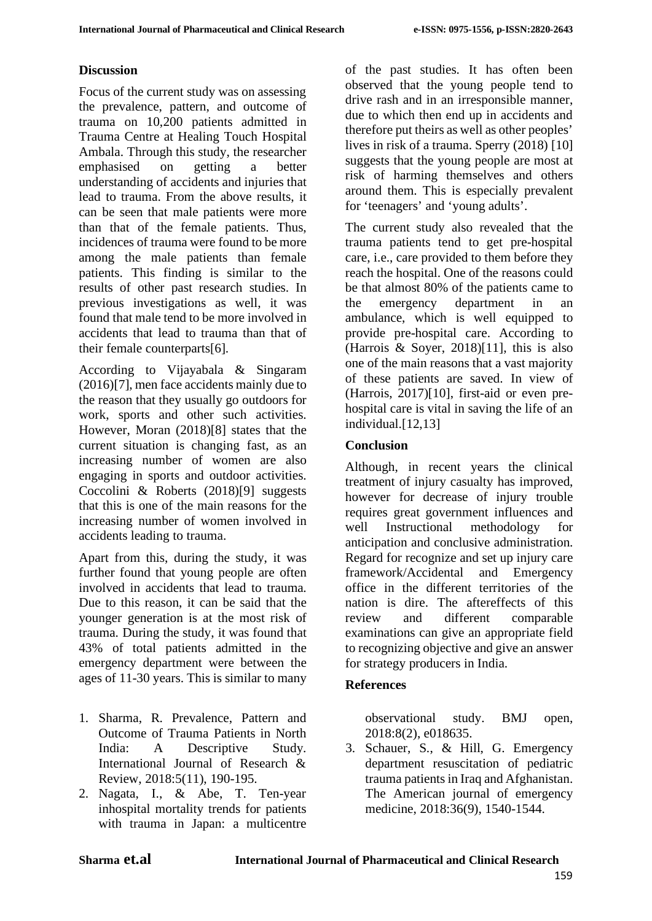### **Discussion**

Focus of the current study was on assessing the prevalence, pattern, and outcome of trauma on 10,200 patients admitted in Trauma Centre at Healing Touch Hospital Ambala. Through this study, the researcher emphasised on getting a better understanding of accidents and injuries that lead to trauma. From the above results, it can be seen that male patients were more than that of the female patients. Thus, incidences of trauma were found to be more among the male patients than female patients. This finding is similar to the results of other past research studies. In previous investigations as well, it was found that male tend to be more involved in accidents that lead to trauma than that of their female counterparts[6].

According to Vijayabala & Singaram (2016)[7], men face accidents mainly due to the reason that they usually go outdoors for work, sports and other such activities. However, Moran (2018)[8] states that the current situation is changing fast, as an increasing number of women are also engaging in sports and outdoor activities. Coccolini & Roberts (2018)[9] suggests that this is one of the main reasons for the increasing number of women involved in accidents leading to trauma.

Apart from this, during the study, it was further found that young people are often involved in accidents that lead to trauma. Due to this reason, it can be said that the younger generation is at the most risk of trauma. During the study, it was found that 43% of total patients admitted in the emergency department were between the ages of 11-30 years. This is similar to many

- 1. Sharma, R. Prevalence, Pattern and Outcome of Trauma Patients in North India: A Descriptive Study. International Journal of Research & Review, 2018:5(11), 190-195.
- 2. Nagata, I., & Abe, T. Ten-year inhospital mortality trends for patients with trauma in Japan: a multicentre

of the past studies. It has often been observed that the young people tend to drive rash and in an irresponsible manner, due to which then end up in accidents and therefore put theirs as well as other peoples' lives in risk of a trauma. Sperry (2018) [10] suggests that the young people are most at risk of harming themselves and others around them. This is especially prevalent for 'teenagers' and 'young adults'.

The current study also revealed that the trauma patients tend to get pre-hospital care, i.e., care provided to them before they reach the hospital. One of the reasons could be that almost 80% of the patients came to the emergency department in an ambulance, which is well equipped to provide pre-hospital care. According to (Harrois & Soyer, 2018)[11], this is also one of the main reasons that a vast majority of these patients are saved. In view of (Harrois, 2017)[10], first-aid or even prehospital care is vital in saving the life of an individual.[12,13]

# **Conclusion**

Although, in recent years the clinical treatment of injury casualty has improved, however for decrease of injury trouble requires great government influences and well Instructional methodology for anticipation and conclusive administration. Regard for recognize and set up injury care framework/Accidental and Emergency office in the different territories of the nation is dire. The aftereffects of this review and different comparable examinations can give an appropriate field to recognizing objective and give an answer for strategy producers in India.

# **References**

observational study. BMJ open, 2018:8(2), e018635.

3. Schauer, S., & Hill, G. Emergency department resuscitation of pediatric trauma patients in Iraq and Afghanistan. The American journal of emergency medicine, 2018:36(9), 1540-1544.